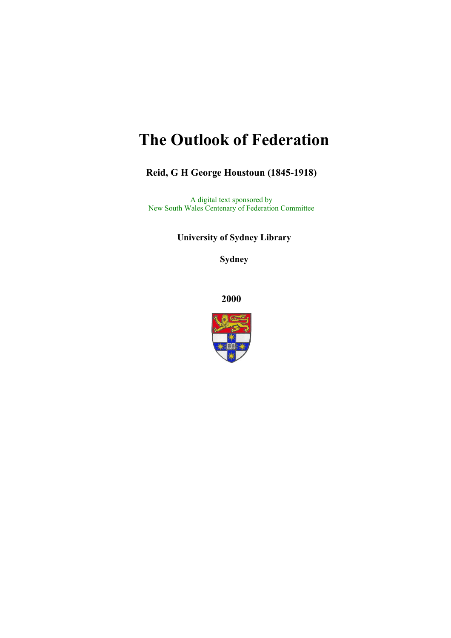# **The Outlook of Federation**

**Reid, G H George Houstoun (1845-1918)**

A digital text sponsored by New South Wales Centenary of Federation Committee

**University of Sydney Library** 

**Sydney** 

**2000**

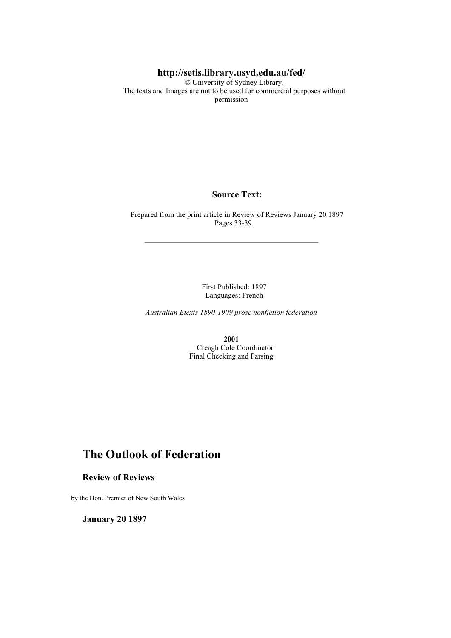#### **http://setis.library.usyd.edu.au/fed/**

 © University of Sydney Library. The texts and Images are not to be used for commercial purposes without permission

#### **Source Text:**

 Prepared from the print article in Review of Reviews January 20 1897 Pages 33-39.

> First Published: 1897 Languages: French

*Australian Etexts 1890-1909 prose nonfiction federation*

**2001** Creagh Cole Coordinator Final Checking and Parsing

## **The Outlook of Federation**

#### **Review of Reviews**

by the Hon. Premier of New South Wales

**January 20 1897**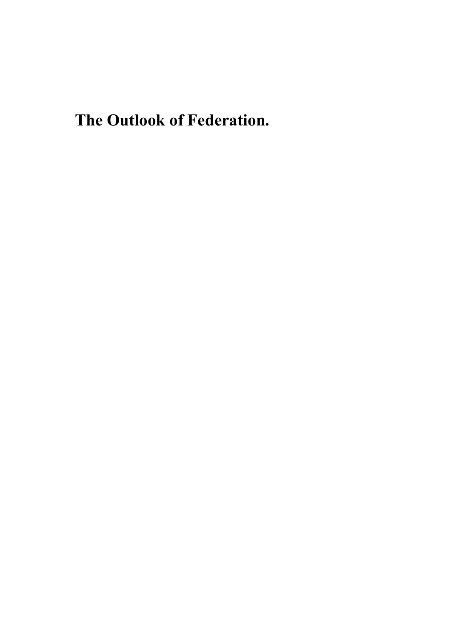**The Outlook of Federation.**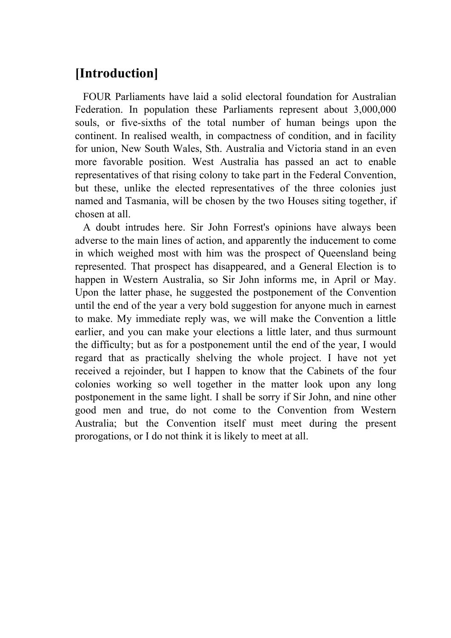## **[Introduction]**

 FOUR Parliaments have laid a solid electoral foundation for Australian Federation. In population these Parliaments represent about 3,000,000 souls, or five-sixths of the total number of human beings upon the continent. In realised wealth, in compactness of condition, and in facility for union, New South Wales, Sth. Australia and Victoria stand in an even more favorable position. West Australia has passed an act to enable representatives of that rising colony to take part in the Federal Convention, but these, unlike the elected representatives of the three colonies just named and Tasmania, will be chosen by the two Houses siting together, if chosen at all.

 A doubt intrudes here. Sir John Forrest's opinions have always been adverse to the main lines of action, and apparently the inducement to come in which weighed most with him was the prospect of Queensland being represented. That prospect has disappeared, and a General Election is to happen in Western Australia, so Sir John informs me, in April or May. Upon the latter phase, he suggested the postponement of the Convention until the end of the year a very bold suggestion for anyone much in earnest to make. My immediate reply was, we will make the Convention a little earlier, and you can make your elections a little later, and thus surmount the difficulty; but as for a postponement until the end of the year, I would regard that as practically shelving the whole project. I have not yet received a rejoinder, but I happen to know that the Cabinets of the four colonies working so well together in the matter look upon any long postponement in the same light. I shall be sorry if Sir John, and nine other good men and true, do not come to the Convention from Western Australia; but the Convention itself must meet during the present prorogations, or I do not think it is likely to meet at all.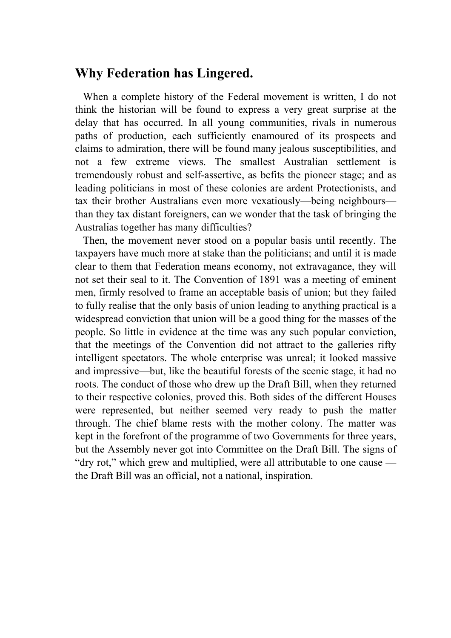## **Why Federation has Lingered.**

 When a complete history of the Federal movement is written, I do not think the historian will be found to express a very great surprise at the delay that has occurred. In all young communities, rivals in numerous paths of production, each sufficiently enamoured of its prospects and claims to admiration, there will be found many jealous susceptibilities, and not a few extreme views. The smallest Australian settlement is tremendously robust and self-assertive, as befits the pioneer stage; and as leading politicians in most of these colonies are ardent Protectionists, and tax their brother Australians even more vexatiously—being neighbours than they tax distant foreigners, can we wonder that the task of bringing the Australias together has many difficulties?

 Then, the movement never stood on a popular basis until recently. The taxpayers have much more at stake than the politicians; and until it is made clear to them that Federation means economy, not extravagance, they will not set their seal to it. The Convention of 1891 was a meeting of eminent men, firmly resolved to frame an acceptable basis of union; but they failed to fully realise that the only basis of union leading to anything practical is a widespread conviction that union will be a good thing for the masses of the people. So little in evidence at the time was any such popular conviction, that the meetings of the Convention did not attract to the galleries rifty intelligent spectators. The whole enterprise was unreal; it looked massive and impressive—but, like the beautiful forests of the scenic stage, it had no roots. The conduct of those who drew up the Draft Bill, when they returned to their respective colonies, proved this. Both sides of the different Houses were represented, but neither seemed very ready to push the matter through. The chief blame rests with the mother colony. The matter was kept in the forefront of the programme of two Governments for three years, but the Assembly never got into Committee on the Draft Bill. The signs of "dry rot," which grew and multiplied, were all attributable to one cause the Draft Bill was an official, not a national, inspiration.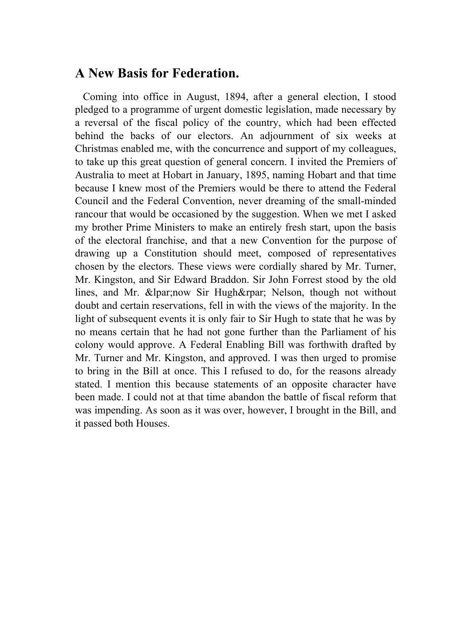#### **A New Basis for Federation.**

 Coming into office in August, 1894, after a general election, I stood pledged to a programme of urgent domestic legislation, made necessary by a reversal of the fiscal policy of the country, which had been effected behind the backs of our electors. An adjournment of six weeks at Christmas enabled me, with the concurrence and support of my colleagues, to take up this great question of general concern. I invited the Premiers of Australia to meet at Hobart in January, 1895, naming Hobart and that time because I knew most of the Premiers would be there to attend the Federal Council and the Federal Convention, never dreaming of the small-minded rancour that would be occasioned by the suggestion. When we met I asked my brother Prime Ministers to make an entirely fresh start, upon the basis of the electoral franchise, and that a new Convention for the purpose of drawing up a Constitution should meet, composed of representatives chosen by the electors. These views were cordially shared by Mr. Turner, Mr. Kingston, and Sir Edward Braddon. Sir John Forrest stood by the old lines, and Mr. (now Sir Hugh) Nelson, though not without doubt and certain reservations, fell in with the views of the majority. In the light of subsequent events it is only fair to Sir Hugh to state that he was by no means certain that he had not gone further than the Parliament of his colony would approve. A Federal Enabling Bill was forthwith drafted by Mr. Turner and Mr. Kingston, and approved. I was then urged to promise to bring in the Bill at once. This I refused to do, for the reasons already stated. I mention this because statements of an opposite character have been made. I could not at that time abandon the battle of fiscal reform that was impending. As soon as it was over, however, I brought in the Bill, and it passed both Houses.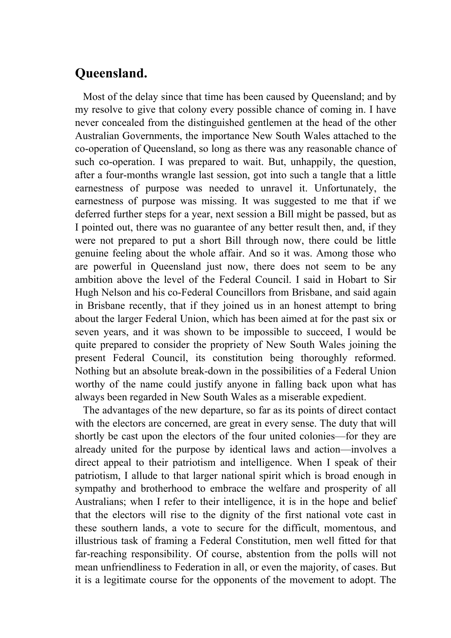## **Queensland.**

 Most of the delay since that time has been caused by Queensland; and by my resolve to give that colony every possible chance of coming in. I have never concealed from the distinguished gentlemen at the head of the other Australian Governments, the importance New South Wales attached to the co-operation of Queensland, so long as there was any reasonable chance of such co-operation. I was prepared to wait. But, unhappily, the question, after a four-months wrangle last session, got into such a tangle that a little earnestness of purpose was needed to unravel it. Unfortunately, the earnestness of purpose was missing. It was suggested to me that if we deferred further steps for a year, next session a Bill might be passed, but as I pointed out, there was no guarantee of any better result then, and, if they were not prepared to put a short Bill through now, there could be little genuine feeling about the whole affair. And so it was. Among those who are powerful in Queensland just now, there does not seem to be any ambition above the level of the Federal Council. I said in Hobart to Sir Hugh Nelson and his co-Federal Councillors from Brisbane, and said again in Brisbane recently, that if they joined us in an honest attempt to bring about the larger Federal Union, which has been aimed at for the past six or seven years, and it was shown to be impossible to succeed, I would be quite prepared to consider the propriety of New South Wales joining the present Federal Council, its constitution being thoroughly reformed. Nothing but an absolute break-down in the possibilities of a Federal Union worthy of the name could justify anyone in falling back upon what has always been regarded in New South Wales as a miserable expedient.

 The advantages of the new departure, so far as its points of direct contact with the electors are concerned, are great in every sense. The duty that will shortly be cast upon the electors of the four united colonies—for they are already united for the purpose by identical laws and action—involves a direct appeal to their patriotism and intelligence. When I speak of their patriotism, I allude to that larger national spirit which is broad enough in sympathy and brotherhood to embrace the welfare and prosperity of all Australians; when I refer to their intelligence, it is in the hope and belief that the electors will rise to the dignity of the first national vote cast in these southern lands, a vote to secure for the difficult, momentous, and illustrious task of framing a Federal Constitution, men well fitted for that far-reaching responsibility. Of course, abstention from the polls will not mean unfriendliness to Federation in all, or even the majority, of cases. But it is a legitimate course for the opponents of the movement to adopt. The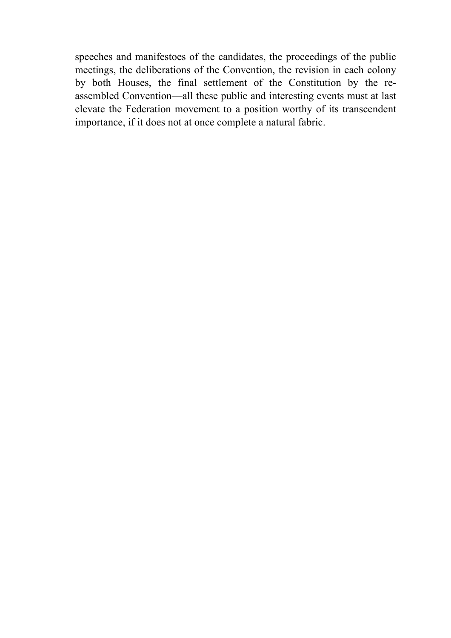speeches and manifestoes of the candidates, the proceedings of the public meetings, the deliberations of the Convention, the revision in each colony by both Houses, the final settlement of the Constitution by the reassembled Convention—all these public and interesting events must at last elevate the Federation movement to a position worthy of its transcendent importance, if it does not at once complete a natural fabric.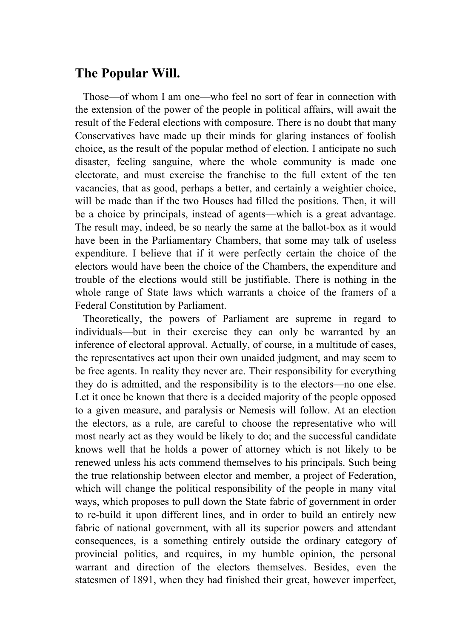## **The Popular Will.**

 Those—of whom I am one—who feel no sort of fear in connection with the extension of the power of the people in political affairs, will await the result of the Federal elections with composure. There is no doubt that many Conservatives have made up their minds for glaring instances of foolish choice, as the result of the popular method of election. I anticipate no such disaster, feeling sanguine, where the whole community is made one electorate, and must exercise the franchise to the full extent of the ten vacancies, that as good, perhaps a better, and certainly a weightier choice, will be made than if the two Houses had filled the positions. Then, it will be a choice by principals, instead of agents—which is a great advantage. The result may, indeed, be so nearly the same at the ballot-box as it would have been in the Parliamentary Chambers, that some may talk of useless expenditure. I believe that if it were perfectly certain the choice of the electors would have been the choice of the Chambers, the expenditure and trouble of the elections would still be justifiable. There is nothing in the whole range of State laws which warrants a choice of the framers of a Federal Constitution by Parliament.

 Theoretically, the powers of Parliament are supreme in regard to individuals—but in their exercise they can only be warranted by an inference of electoral approval. Actually, of course, in a multitude of cases, the representatives act upon their own unaided judgment, and may seem to be free agents. In reality they never are. Their responsibility for everything they do is admitted, and the responsibility is to the electors—no one else. Let it once be known that there is a decided majority of the people opposed to a given measure, and paralysis or Nemesis will follow. At an election the electors, as a rule, are careful to choose the representative who will most nearly act as they would be likely to do; and the successful candidate knows well that he holds a power of attorney which is not likely to be renewed unless his acts commend themselves to his principals. Such being the true relationship between elector and member, a project of Federation, which will change the political responsibility of the people in many vital ways, which proposes to pull down the State fabric of government in order to re-build it upon different lines, and in order to build an entirely new fabric of national government, with all its superior powers and attendant consequences, is a something entirely outside the ordinary category of provincial politics, and requires, in my humble opinion, the personal warrant and direction of the electors themselves. Besides, even the statesmen of 1891, when they had finished their great, however imperfect,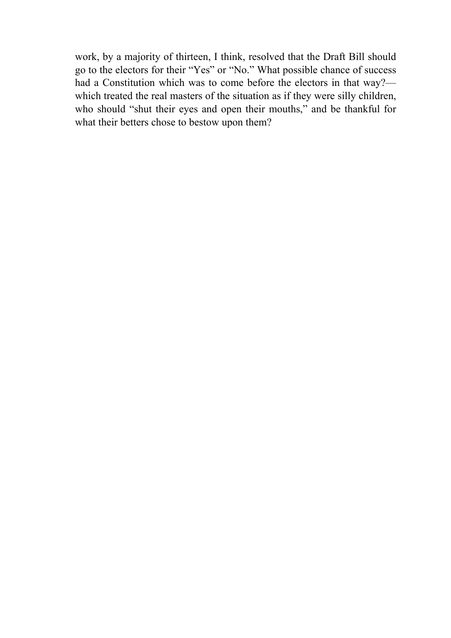work, by a majority of thirteen, I think, resolved that the Draft Bill should go to the electors for their "Yes" or "No." What possible chance of success had a Constitution which was to come before the electors in that way? which treated the real masters of the situation as if they were silly children, who should "shut their eyes and open their mouths," and be thankful for what their betters chose to bestow upon them?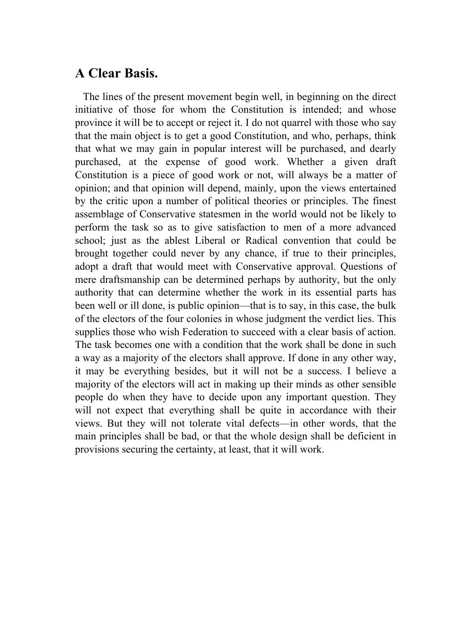## **A Clear Basis.**

 The lines of the present movement begin well, in beginning on the direct initiative of those for whom the Constitution is intended; and whose province it will be to accept or reject it. I do not quarrel with those who say that the main object is to get a good Constitution, and who, perhaps, think that what we may gain in popular interest will be purchased, and dearly purchased, at the expense of good work. Whether a given draft Constitution is a piece of good work or not, will always be a matter of opinion; and that opinion will depend, mainly, upon the views entertained by the critic upon a number of political theories or principles. The finest assemblage of Conservative statesmen in the world would not be likely to perform the task so as to give satisfaction to men of a more advanced school; just as the ablest Liberal or Radical convention that could be brought together could never by any chance, if true to their principles, adopt a draft that would meet with Conservative approval. Questions of mere draftsmanship can be determined perhaps by authority, but the only authority that can determine whether the work in its essential parts has been well or ill done, is public opinion—that is to say, in this case, the bulk of the electors of the four colonies in whose judgment the verdict lies. This supplies those who wish Federation to succeed with a clear basis of action. The task becomes one with a condition that the work shall be done in such a way as a majority of the electors shall approve. If done in any other way, it may be everything besides, but it will not be a success. I believe a majority of the electors will act in making up their minds as other sensible people do when they have to decide upon any important question. They will not expect that everything shall be quite in accordance with their views. But they will not tolerate vital defects—in other words, that the main principles shall be bad, or that the whole design shall be deficient in provisions securing the certainty, at least, that it will work.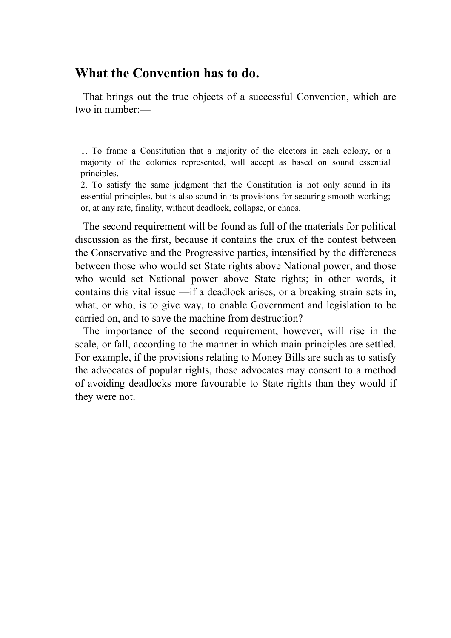### **What the Convention has to do.**

 That brings out the true objects of a successful Convention, which are two in number:—

1. To frame a Constitution that a majority of the electors in each colony, or a majority of the colonies represented, will accept as based on sound essential principles.

2. To satisfy the same judgment that the Constitution is not only sound in its essential principles, but is also sound in its provisions for securing smooth working; or, at any rate, finality, without deadlock, collapse, or chaos.

 The second requirement will be found as full of the materials for political discussion as the first, because it contains the crux of the contest between the Conservative and the Progressive parties, intensified by the differences between those who would set State rights above National power, and those who would set National power above State rights; in other words, it contains this vital issue —if a deadlock arises, or a breaking strain sets in, what, or who, is to give way, to enable Government and legislation to be carried on, and to save the machine from destruction?

 The importance of the second requirement, however, will rise in the scale, or fall, according to the manner in which main principles are settled. For example, if the provisions relating to Money Bills are such as to satisfy the advocates of popular rights, those advocates may consent to a method of avoiding deadlocks more favourable to State rights than they would if they were not.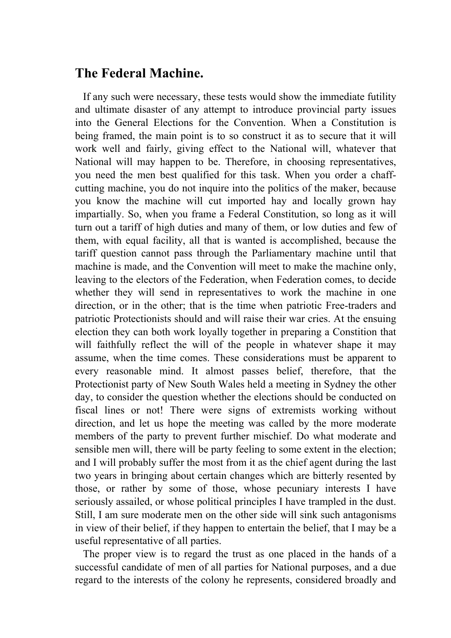## **The Federal Machine.**

 If any such were necessary, these tests would show the immediate futility and ultimate disaster of any attempt to introduce provincial party issues into the General Elections for the Convention. When a Constitution is being framed, the main point is to so construct it as to secure that it will work well and fairly, giving effect to the National will, whatever that National will may happen to be. Therefore, in choosing representatives, you need the men best qualified for this task. When you order a chaffcutting machine, you do not inquire into the politics of the maker, because you know the machine will cut imported hay and locally grown hay impartially. So, when you frame a Federal Constitution, so long as it will turn out a tariff of high duties and many of them, or low duties and few of them, with equal facility, all that is wanted is accomplished, because the tariff question cannot pass through the Parliamentary machine until that machine is made, and the Convention will meet to make the machine only, leaving to the electors of the Federation, when Federation comes, to decide whether they will send in representatives to work the machine in one direction, or in the other; that is the time when patriotic Free-traders and patriotic Protectionists should and will raise their war cries. At the ensuing election they can both work loyally together in preparing a Constition that will faithfully reflect the will of the people in whatever shape it may assume, when the time comes. These considerations must be apparent to every reasonable mind. It almost passes belief, therefore, that the Protectionist party of New South Wales held a meeting in Sydney the other day, to consider the question whether the elections should be conducted on fiscal lines or not! There were signs of extremists working without direction, and let us hope the meeting was called by the more moderate members of the party to prevent further mischief. Do what moderate and sensible men will, there will be party feeling to some extent in the election; and I will probably suffer the most from it as the chief agent during the last two years in bringing about certain changes which are bitterly resented by those, or rather by some of those, whose pecuniary interests I have seriously assailed, or whose political principles I have trampled in the dust. Still, I am sure moderate men on the other side will sink such antagonisms in view of their belief, if they happen to entertain the belief, that I may be a useful representative of all parties.

 The proper view is to regard the trust as one placed in the hands of a successful candidate of men of all parties for National purposes, and a due regard to the interests of the colony he represents, considered broadly and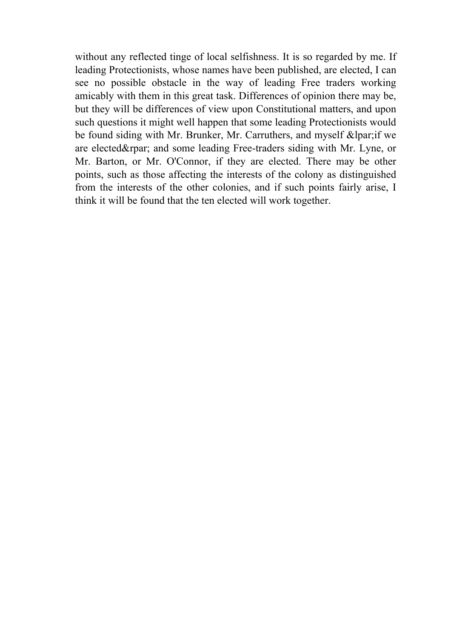without any reflected tinge of local selfishness. It is so regarded by me. If leading Protectionists, whose names have been published, are elected, I can see no possible obstacle in the way of leading Free traders working amicably with them in this great task. Differences of opinion there may be, but they will be differences of view upon Constitutional matters, and upon such questions it might well happen that some leading Protectionists would be found siding with Mr. Brunker, Mr. Carruthers, and myself  $\&$ lpar; if we are elected) and some leading Free-traders siding with Mr. Lyne, or Mr. Barton, or Mr. O'Connor, if they are elected. There may be other points, such as those affecting the interests of the colony as distinguished from the interests of the other colonies, and if such points fairly arise, I think it will be found that the ten elected will work together.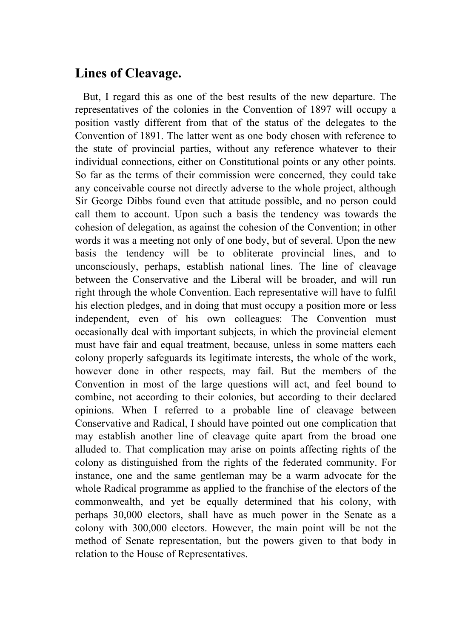## **Lines of Cleavage.**

 But, I regard this as one of the best results of the new departure. The representatives of the colonies in the Convention of 1897 will occupy a position vastly different from that of the status of the delegates to the Convention of 1891. The latter went as one body chosen with reference to the state of provincial parties, without any reference whatever to their individual connections, either on Constitutional points or any other points. So far as the terms of their commission were concerned, they could take any conceivable course not directly adverse to the whole project, although Sir George Dibbs found even that attitude possible, and no person could call them to account. Upon such a basis the tendency was towards the cohesion of delegation, as against the cohesion of the Convention; in other words it was a meeting not only of one body, but of several. Upon the new basis the tendency will be to obliterate provincial lines, and to unconsciously, perhaps, establish national lines. The line of cleavage between the Conservative and the Liberal will be broader, and will run right through the whole Convention. Each representative will have to fulfil his election pledges, and in doing that must occupy a position more or less independent, even of his own colleagues: The Convention must occasionally deal with important subjects, in which the provincial element must have fair and equal treatment, because, unless in some matters each colony properly safeguards its legitimate interests, the whole of the work, however done in other respects, may fail. But the members of the Convention in most of the large questions will act, and feel bound to combine, not according to their colonies, but according to their declared opinions. When I referred to a probable line of cleavage between Conservative and Radical, I should have pointed out one complication that may establish another line of cleavage quite apart from the broad one alluded to. That complication may arise on points affecting rights of the colony as distinguished from the rights of the federated community. For instance, one and the same gentleman may be a warm advocate for the whole Radical programme as applied to the franchise of the electors of the commonwealth, and yet be equally determined that his colony, with perhaps 30,000 electors, shall have as much power in the Senate as a colony with 300,000 electors. However, the main point will be not the method of Senate representation, but the powers given to that body in relation to the House of Representatives.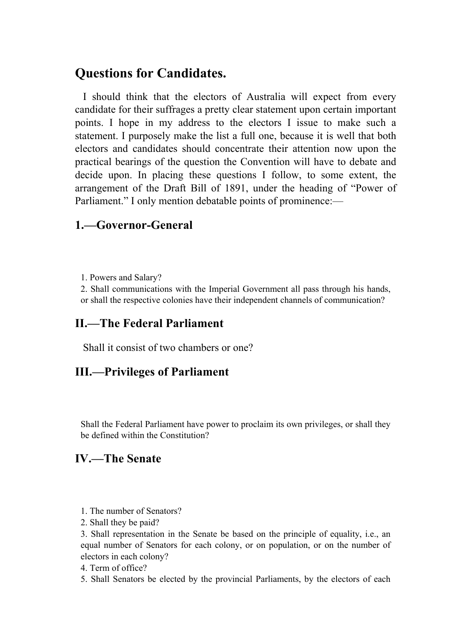## **Questions for Candidates.**

 I should think that the electors of Australia will expect from every candidate for their suffrages a pretty clear statement upon certain important points. I hope in my address to the electors I issue to make such a statement. I purposely make the list a full one, because it is well that both electors and candidates should concentrate their attention now upon the practical bearings of the question the Convention will have to debate and decide upon. In placing these questions I follow, to some extent, the arrangement of the Draft Bill of 1891, under the heading of "Power of Parliament." I only mention debatable points of prominence:—

## **1.—Governor-General**

1. Powers and Salary?

2. Shall communications with the Imperial Government all pass through his hands, or shall the respective colonies have their independent channels of communication?

## **II.—The Federal Parliament**

Shall it consist of two chambers or one?

#### **III.—Privileges of Parliament**

Shall the Federal Parliament have power to proclaim its own privileges, or shall they be defined within the Constitution?

## **IV.—The Senate**

- 1. The number of Senators?
- 2. Shall they be paid?

3. Shall representation in the Senate be based on the principle of equality, i.e., an equal number of Senators for each colony, or on population, or on the number of electors in each colony?

- 4. Term of office?
- 5. Shall Senators be elected by the provincial Parliaments, by the electors of each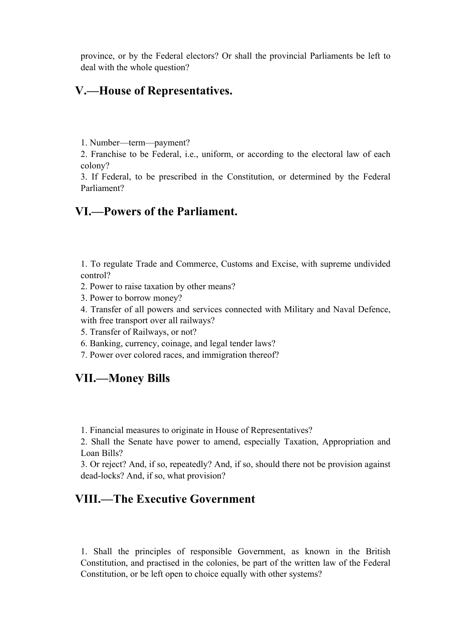province, or by the Federal electors? Or shall the provincial Parliaments be left to deal with the whole question?

#### **V.—House of Representatives.**

1. Number—term—payment?

2. Franchise to be Federal, i.e., uniform, or according to the electoral law of each colony?

3. If Federal, to be prescribed in the Constitution, or determined by the Federal Parliament?

#### **VI.—Powers of the Parliament.**

1. To regulate Trade and Commerce, Customs and Excise, with supreme undivided control?

- 2. Power to raise taxation by other means?
- 3. Power to borrow money?

4. Transfer of all powers and services connected with Military and Naval Defence, with free transport over all railways?

- 5. Transfer of Railways, or not?
- 6. Banking, currency, coinage, and legal tender laws?
- 7. Power over colored races, and immigration thereof?

## **VII.—Money Bills**

1. Financial measures to originate in House of Representatives?

2. Shall the Senate have power to amend, especially Taxation, Appropriation and Loan Bills?

3. Or reject? And, if so, repeatedly? And, if so, should there not be provision against dead-locks? And, if so, what provision?

## **VIII.—The Executive Government**

1. Shall the principles of responsible Government, as known in the British Constitution, and practised in the colonies, be part of the written law of the Federal Constitution, or be left open to choice equally with other systems?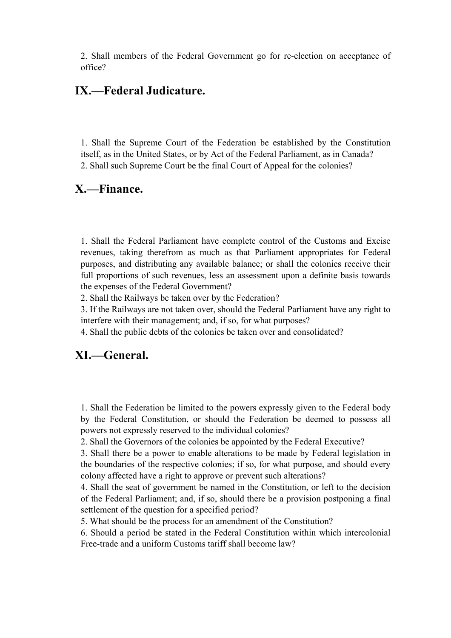2. Shall members of the Federal Government go for re-election on acceptance of office?

#### **IX.—Federal Judicature.**

1. Shall the Supreme Court of the Federation be established by the Constitution itself, as in the United States, or by Act of the Federal Parliament, as in Canada? 2. Shall such Supreme Court be the final Court of Appeal for the colonies?

#### **X.—Finance.**

1. Shall the Federal Parliament have complete control of the Customs and Excise revenues, taking therefrom as much as that Parliament appropriates for Federal purposes, and distributing any available balance; or shall the colonies receive their full proportions of such revenues, less an assessment upon a definite basis towards the expenses of the Federal Government?

2. Shall the Railways be taken over by the Federation?

3. If the Railways are not taken over, should the Federal Parliament have any right to interfere with their management; and, if so, for what purposes?

4. Shall the public debts of the colonies be taken over and consolidated?

#### **XI.—General.**

1. Shall the Federation be limited to the powers expressly given to the Federal body by the Federal Constitution, or should the Federation be deemed to possess all powers not expressly reserved to the individual colonies?

2. Shall the Governors of the colonies be appointed by the Federal Executive?

3. Shall there be a power to enable alterations to be made by Federal legislation in the boundaries of the respective colonies; if so, for what purpose, and should every colony affected have a right to approve or prevent such alterations?

4. Shall the seat of government be named in the Constitution, or left to the decision of the Federal Parliament; and, if so, should there be a provision postponing a final settlement of the question for a specified period?

5. What should be the process for an amendment of the Constitution?

6. Should a period be stated in the Federal Constitution within which intercolonial Free-trade and a uniform Customs tariff shall become law?